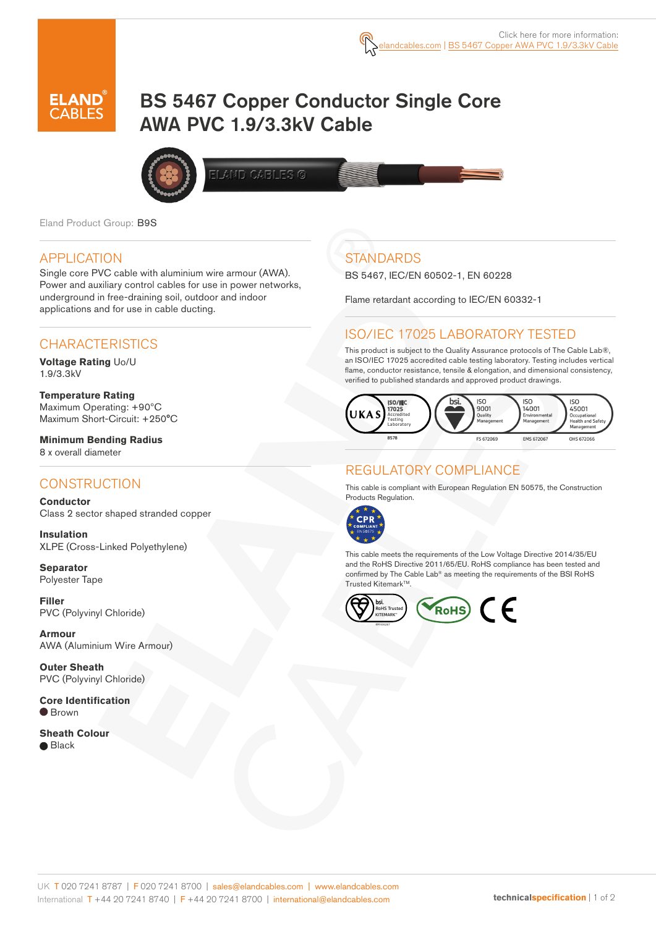

# BS 5467 Copper Conductor Single Core AWA PVC 1.9/3.3kV Cable



AND CABLES <mark>O</mark>

Eland Product Group: B9S

### APPLICATION

Single core PVC cable with aluminium wire armour (AWA). Power and auxiliary control cables for use in power networks, underground in free-draining soil, outdoor and indoor applications and for use in cable ducting.

# **CHARACTERISTICS**

**Voltage Rating** Uo/U 1.9/3.3kV

**Temperature Rating** Maximum Operating: +90ºC Maximum Short-Circuit: +250°C

**Minimum Bending Radius**  8 x overall diameter

### **CONSTRUCTION**

**Conductor** Class 2 sector shaped stranded copper

**Insulation** XLPE (Cross-Linked Polyethylene)

**Separator**  Polyester Tape

**Filler**  PVC (Polyvinyl Chloride)

**Armour** AWA (Aluminium Wire Armour)

**Outer Sheath** PVC (Polyvinyl Chloride)

**Core Identification**  $\bullet$  Brown

**Sheath Colour**  $\bullet$  Black

# **STANDARDS**

BS 5467, IEC/EN 60502-1, EN 60228

Flame retardant according to IEC/EN 60332-1

# ISO/IEC 17025 LABORATORY TESTED

This product is subject to the Quality Assurance protocols of The Cable Lab®, an ISO/IEC 17025 accredited cable testing laboratory. Testing includes vertical flame, conductor resistance, tensile & elongation, and dimensional consistency, verified to published standards and approved product drawings.



# REGULATORY COMPLIANCE

This cable is compliant with European Regulation EN 50575, the Construction Products Regulation.



This cable meets the requirements of the Low Voltage Directive 2014/35/EU and the RoHS Directive 2011/65/EU. RoHS compliance has been tested and confirmed by The Cable Lab® as meeting the requirements of the BSI RoHS Trusted Kitemark™.